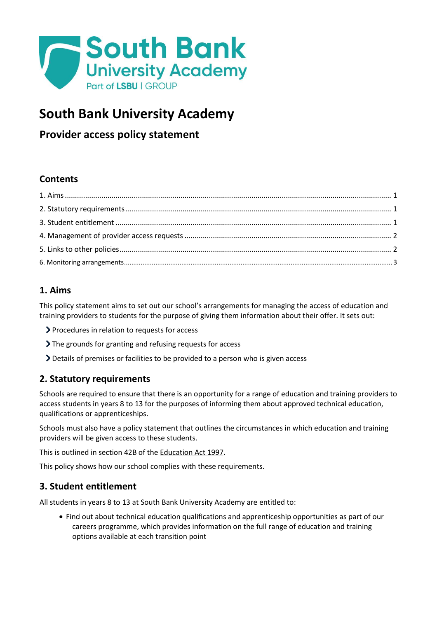

# **South Bank University Academy**

# **Provider access policy statement**

# **Contents**

# <span id="page-0-0"></span>**1. Aims**

This policy statement aims to set out our school's arrangements for managing the access of education and training providers to students for the purpose of giving them information about their offer. It sets out:

- Procedures in relation to requests for access
- If The grounds for granting and refusing requests for access
- Details of premises or facilities to be provided to a person who is given access

# <span id="page-0-1"></span>**2. Statutory requirements**

Schools are required to ensure that there is an opportunity for a range of education and training providers to access students in years 8 to 13 for the purposes of informing them about approved technical education, qualifications or apprenticeships.

Schools must also have a policy statement that outlines the circumstances in which education and training providers will be given access to these students.

This is outlined in section 42B of th[e Education Act 1997.](https://www.legislation.gov.uk/ukpga/1997/44/section/42B)

This policy shows how our school complies with these requirements.

## <span id="page-0-2"></span>**3. Student entitlement**

All students in years 8 to 13 at South Bank University Academy are entitled to:

• Find out about technical education qualifications and apprenticeship opportunities as part of our careers programme, which provides information on the full range of education and training options available at each transition point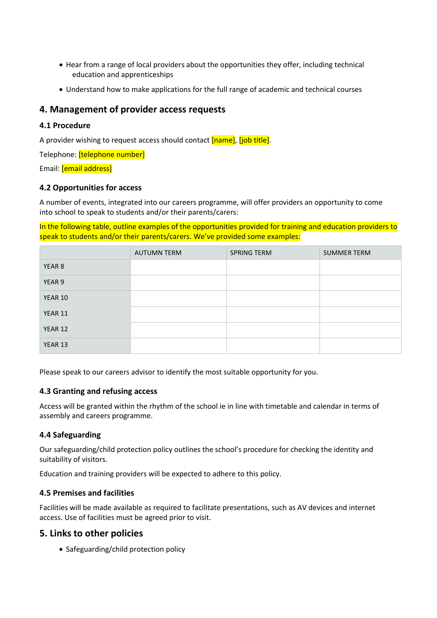- Hear from a range of local providers about the opportunities they offer, including technical education and apprenticeships
- Understand how to make applications for the full range of academic and technical courses

### <span id="page-1-0"></span>**4. Management of provider access requests**

#### **4.1 Procedure**

A provider wishing to request access should contact [name], [job title].

Telephone: [telephone number]

Email: [email address]

#### **4.2 Opportunities for access**

A number of events, integrated into our careers programme, will offer providers an opportunity to come into school to speak to students and/or their parents/carers:

In the following table, outline examples of the opportunities provided for training and education providers to speak to students and/or their parents/carers. We've provided some examples:

|         | <b>AUTUMN TERM</b> | SPRING TERM | <b>SUMMER TERM</b> |
|---------|--------------------|-------------|--------------------|
| YEAR 8  |                    |             |                    |
| YEAR 9  |                    |             |                    |
| YEAR 10 |                    |             |                    |
| YEAR 11 |                    |             |                    |
| YEAR 12 |                    |             |                    |
| YEAR 13 |                    |             |                    |

Please speak to our careers advisor to identify the most suitable opportunity for you.

#### **4.3 Granting and refusing access**

Access will be granted within the rhythm of the school ie in line with timetable and calendar in terms of assembly and careers programme.

#### **4.4 Safeguarding**

Our safeguarding/child protection policy outlines the school's procedure for checking the identity and suitability of visitors.

Education and training providers will be expected to adhere to this policy.

#### **4.5 Premises and facilities**

Facilities will be made available as required to facilitate presentations, such as AV devices and internet access. Use of facilities must be agreed prior to visit.

### <span id="page-1-1"></span>**5. Links to other policies**

• Safeguarding/child protection policy